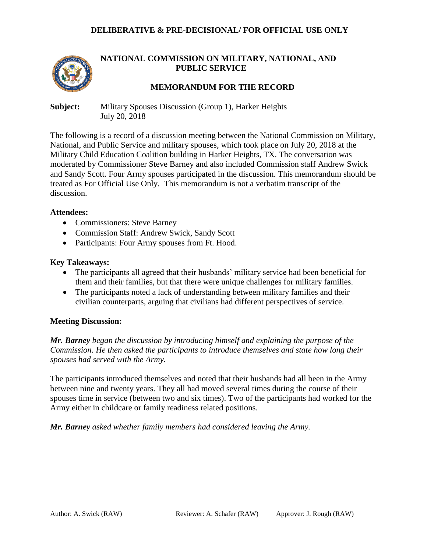### **DELIBERATIVE & PRE-DECISIONAL/ FOR OFFICIAL USE ONLY**



# **NATIONAL COMMISSION ON MILITARY, NATIONAL, AND PUBLIC SERVICE**

## **MEMORANDUM FOR THE RECORD**

**Subject:** Military Spouses Discussion (Group 1), Harker Heights July 20, 2018

The following is a record of a discussion meeting between the National Commission on Military, National, and Public Service and military spouses, which took place on July 20, 2018 at the Military Child Education Coalition building in Harker Heights, TX. The conversation was moderated by Commissioner Steve Barney and also included Commission staff Andrew Swick and Sandy Scott. Four Army spouses participated in the discussion. This memorandum should be treated as For Official Use Only. This memorandum is not a verbatim transcript of the discussion.

#### **Attendees:**

- Commissioners: Steve Barney
- Commission Staff: Andrew Swick, Sandy Scott
- Participants: Four Army spouses from Ft. Hood.

#### **Key Takeaways:**

- The participants all agreed that their husbands' military service had been beneficial for them and their families, but that there were unique challenges for military families.
- The participants noted a lack of understanding between military families and their civilian counterparts, arguing that civilians had different perspectives of service.

#### **Meeting Discussion:**

*Mr. Barney began the discussion by introducing himself and explaining the purpose of the Commission. He then asked the participants to introduce themselves and state how long their spouses had served with the Army.*

The participants introduced themselves and noted that their husbands had all been in the Army between nine and twenty years. They all had moved several times during the course of their spouses time in service (between two and six times). Two of the participants had worked for the Army either in childcare or family readiness related positions.

*Mr. Barney asked whether family members had considered leaving the Army.*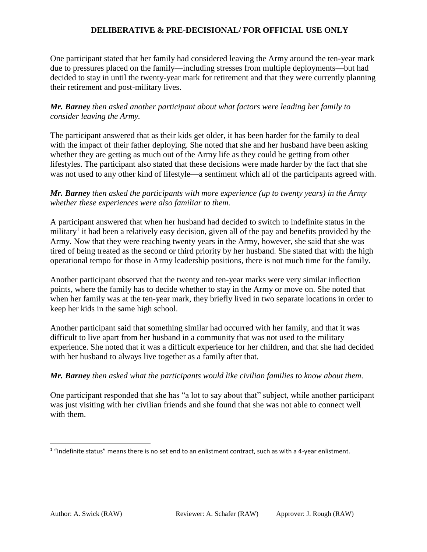# **DELIBERATIVE & PRE-DECISIONAL/ FOR OFFICIAL USE ONLY**

One participant stated that her family had considered leaving the Army around the ten-year mark due to pressures placed on the family—including stresses from multiple deployments—but had decided to stay in until the twenty-year mark for retirement and that they were currently planning their retirement and post-military lives.

## *Mr. Barney then asked another participant about what factors were leading her family to consider leaving the Army.*

The participant answered that as their kids get older, it has been harder for the family to deal with the impact of their father deploying. She noted that she and her husband have been asking whether they are getting as much out of the Army life as they could be getting from other lifestyles. The participant also stated that these decisions were made harder by the fact that she was not used to any other kind of lifestyle—a sentiment which all of the participants agreed with.

## *Mr. Barney then asked the participants with more experience (up to twenty years) in the Army whether these experiences were also familiar to them.*

A participant answered that when her husband had decided to switch to indefinite status in the military<sup>1</sup> it had been a relatively easy decision, given all of the pay and benefits provided by the Army. Now that they were reaching twenty years in the Army, however, she said that she was tired of being treated as the second or third priority by her husband. She stated that with the high operational tempo for those in Army leadership positions, there is not much time for the family.

Another participant observed that the twenty and ten-year marks were very similar inflection points, where the family has to decide whether to stay in the Army or move on. She noted that when her family was at the ten-year mark, they briefly lived in two separate locations in order to keep her kids in the same high school.

Another participant said that something similar had occurred with her family, and that it was difficult to live apart from her husband in a community that was not used to the military experience. She noted that it was a difficult experience for her children, and that she had decided with her husband to always live together as a family after that.

## *Mr. Barney then asked what the participants would like civilian families to know about them.*

One participant responded that she has "a lot to say about that" subject, while another participant was just visiting with her civilian friends and she found that she was not able to connect well with them.

l

 $1$  "Indefinite status" means there is no set end to an enlistment contract, such as with a 4-year enlistment.